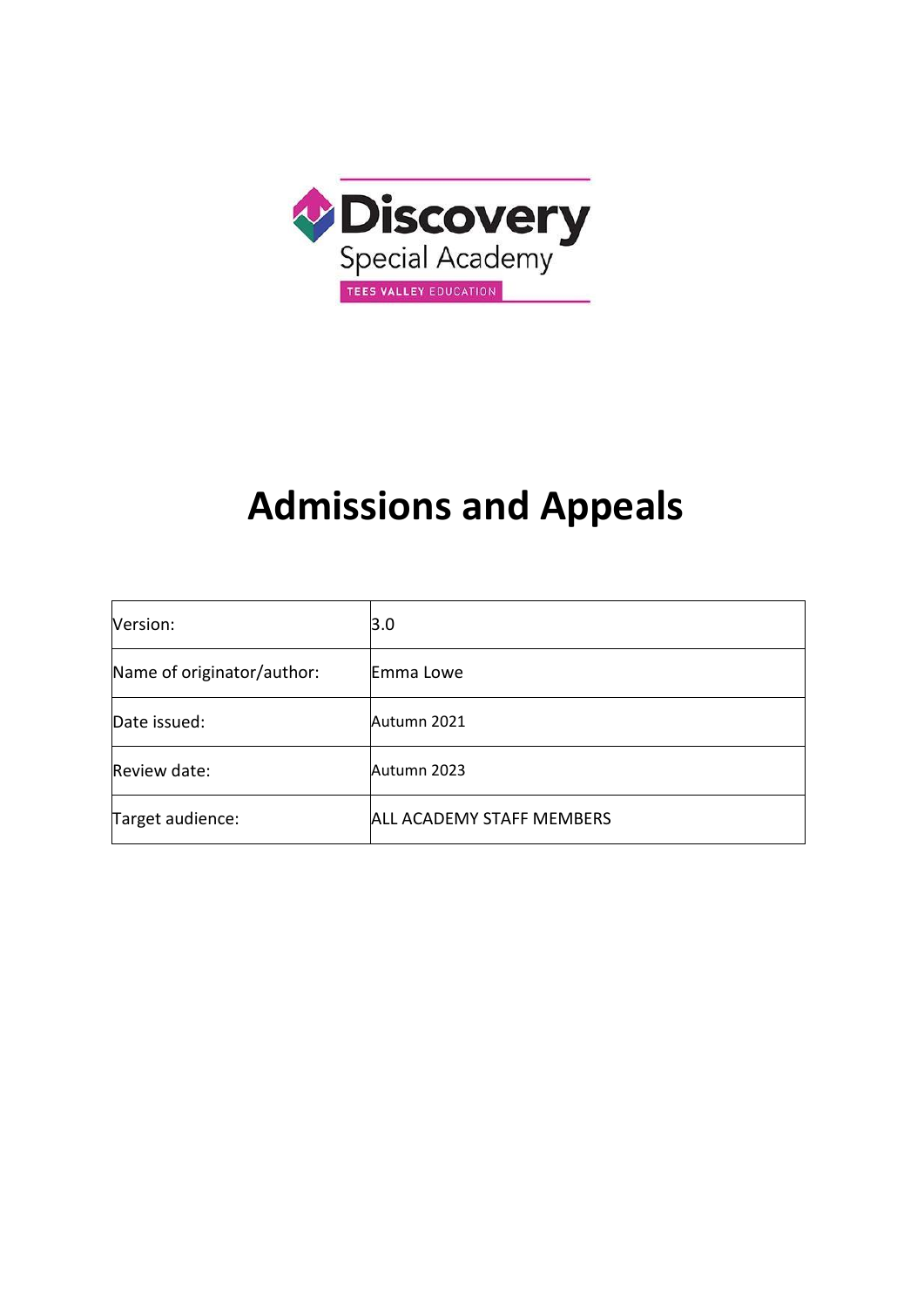

# **Admissions and Appeals**

| Version:                   | 3.0                              |
|----------------------------|----------------------------------|
| Name of originator/author: | Emma Lowe                        |
| Date issued:               | Autumn 2021                      |
| Review date:               | Autumn 2023                      |
| Target audience:           | <b>ALL ACADEMY STAFF MEMBERS</b> |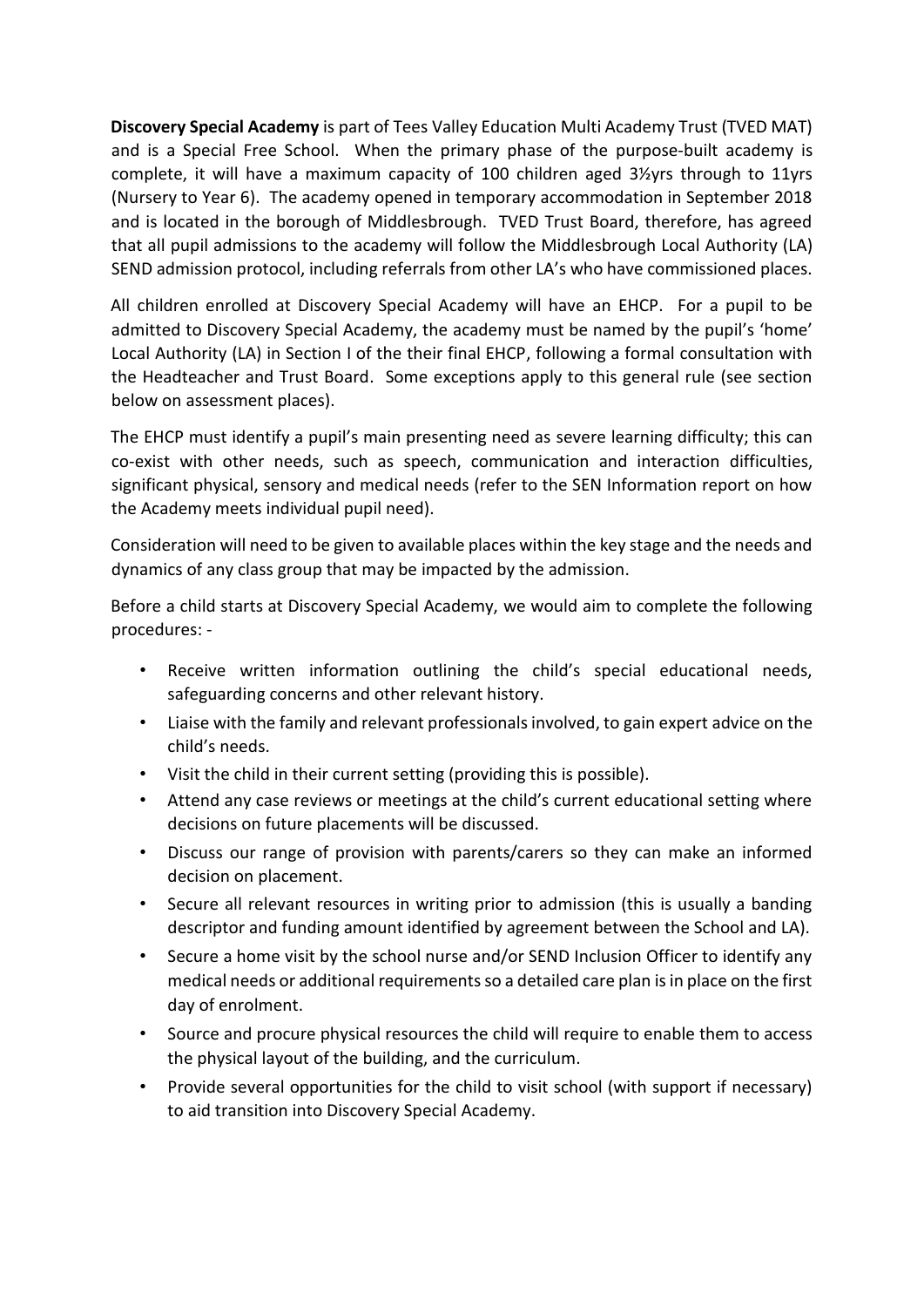**Discovery Special Academy** is part of Tees Valley Education Multi Academy Trust (TVED MAT) and is a Special Free School. When the primary phase of the purpose-built academy is complete, it will have a maximum capacity of 100 children aged 3½yrs through to 11yrs (Nursery to Year 6). The academy opened in temporary accommodation in September 2018 and is located in the borough of Middlesbrough. TVED Trust Board, therefore, has agreed that all pupil admissions to the academy will follow the Middlesbrough Local Authority (LA) SEND admission protocol, including referrals from other LA's who have commissioned places.

All children enrolled at Discovery Special Academy will have an EHCP. For a pupil to be admitted to Discovery Special Academy, the academy must be named by the pupil's 'home' Local Authority (LA) in Section I of the their final EHCP, following a formal consultation with the Headteacher and Trust Board. Some exceptions apply to this general rule (see section below on assessment places).

The EHCP must identify a pupil's main presenting need as severe learning difficulty; this can co-exist with other needs, such as speech, communication and interaction difficulties, significant physical, sensory and medical needs (refer to the SEN Information report on how the Academy meets individual pupil need).

Consideration will need to be given to available places within the key stage and the needs and dynamics of any class group that may be impacted by the admission.

Before a child starts at Discovery Special Academy, we would aim to complete the following procedures: -

- Receive written information outlining the child's special educational needs, safeguarding concerns and other relevant history.
- Liaise with the family and relevant professionals involved, to gain expert advice on the child's needs.
- Visit the child in their current setting (providing this is possible).
- Attend any case reviews or meetings at the child's current educational setting where decisions on future placements will be discussed.
- Discuss our range of provision with parents/carers so they can make an informed decision on placement.
- Secure all relevant resources in writing prior to admission (this is usually a banding descriptor and funding amount identified by agreement between the School and LA).
- Secure a home visit by the school nurse and/or SEND Inclusion Officer to identify any medical needs or additional requirements so a detailed care plan is in place on the first day of enrolment.
- Source and procure physical resources the child will require to enable them to access the physical layout of the building, and the curriculum.
- Provide several opportunities for the child to visit school (with support if necessary) to aid transition into Discovery Special Academy.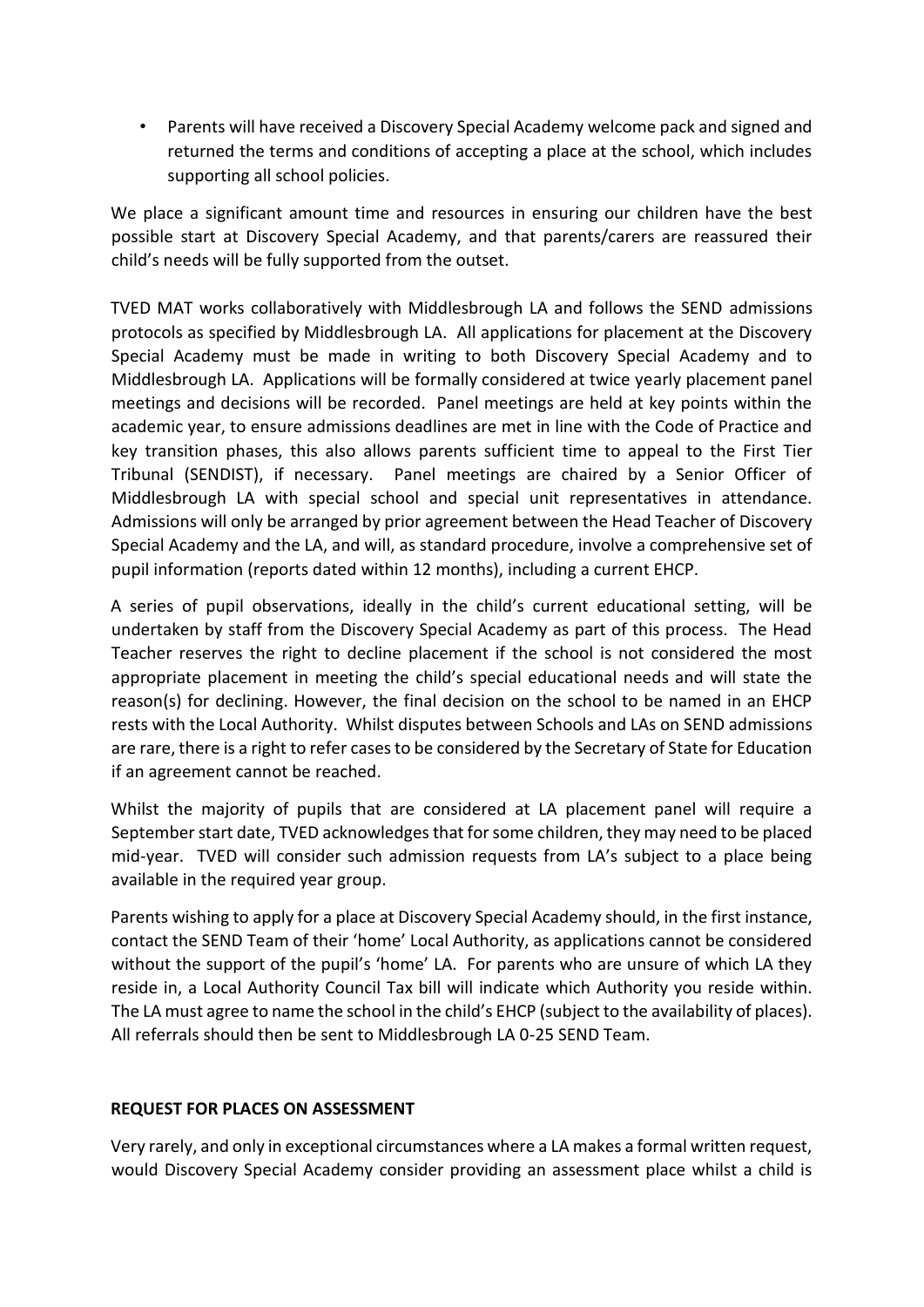• Parents will have received a Discovery Special Academy welcome pack and signed and returned the terms and conditions of accepting a place at the school, which includes supporting all school policies.

We place a significant amount time and resources in ensuring our children have the best possible start at Discovery Special Academy, and that parents/carers are reassured their child's needs will be fully supported from the outset.

TVED MAT works collaboratively with Middlesbrough LA and follows the SEND admissions protocols as specified by Middlesbrough LA. All applications for placement at the Discovery Special Academy must be made in writing to both Discovery Special Academy and to Middlesbrough LA. Applications will be formally considered at twice yearly placement panel meetings and decisions will be recorded. Panel meetings are held at key points within the academic year, to ensure admissions deadlines are met in line with the Code of Practice and key transition phases, this also allows parents sufficient time to appeal to the First Tier Tribunal (SENDIST), if necessary. Panel meetings are chaired by a Senior Officer of Middlesbrough LA with special school and special unit representatives in attendance. Admissions will only be arranged by prior agreement between the Head Teacher of Discovery Special Academy and the LA, and will, as standard procedure, involve a comprehensive set of pupil information (reports dated within 12 months), including a current EHCP.

A series of pupil observations, ideally in the child's current educational setting, will be undertaken by staff from the Discovery Special Academy as part of this process. The Head Teacher reserves the right to decline placement if the school is not considered the most appropriate placement in meeting the child's special educational needs and will state the reason(s) for declining. However, the final decision on the school to be named in an EHCP rests with the Local Authority. Whilst disputes between Schools and LAs on SEND admissions are rare, there is a right to refer cases to be considered by the Secretary of State for Education if an agreement cannot be reached.

Whilst the majority of pupils that are considered at LA placement panel will require a September start date, TVED acknowledges that for some children, they may need to be placed mid-year. TVED will consider such admission requests from LA's subject to a place being available in the required year group.

Parents wishing to apply for a place at Discovery Special Academy should, in the first instance, contact the SEND Team of their 'home' Local Authority, as applications cannot be considered without the support of the pupil's 'home' LA. For parents who are unsure of which LA they reside in, a Local Authority Council Tax bill will indicate which Authority you reside within. The LA must agree to name the school in the child's EHCP (subject to the availability of places). All referrals should then be sent to Middlesbrough LA 0-25 SEND Team.

#### **REQUEST FOR PLACES ON ASSESSMENT**

Very rarely, and only in exceptional circumstances where a LA makes a formal written request, would Discovery Special Academy consider providing an assessment place whilst a child is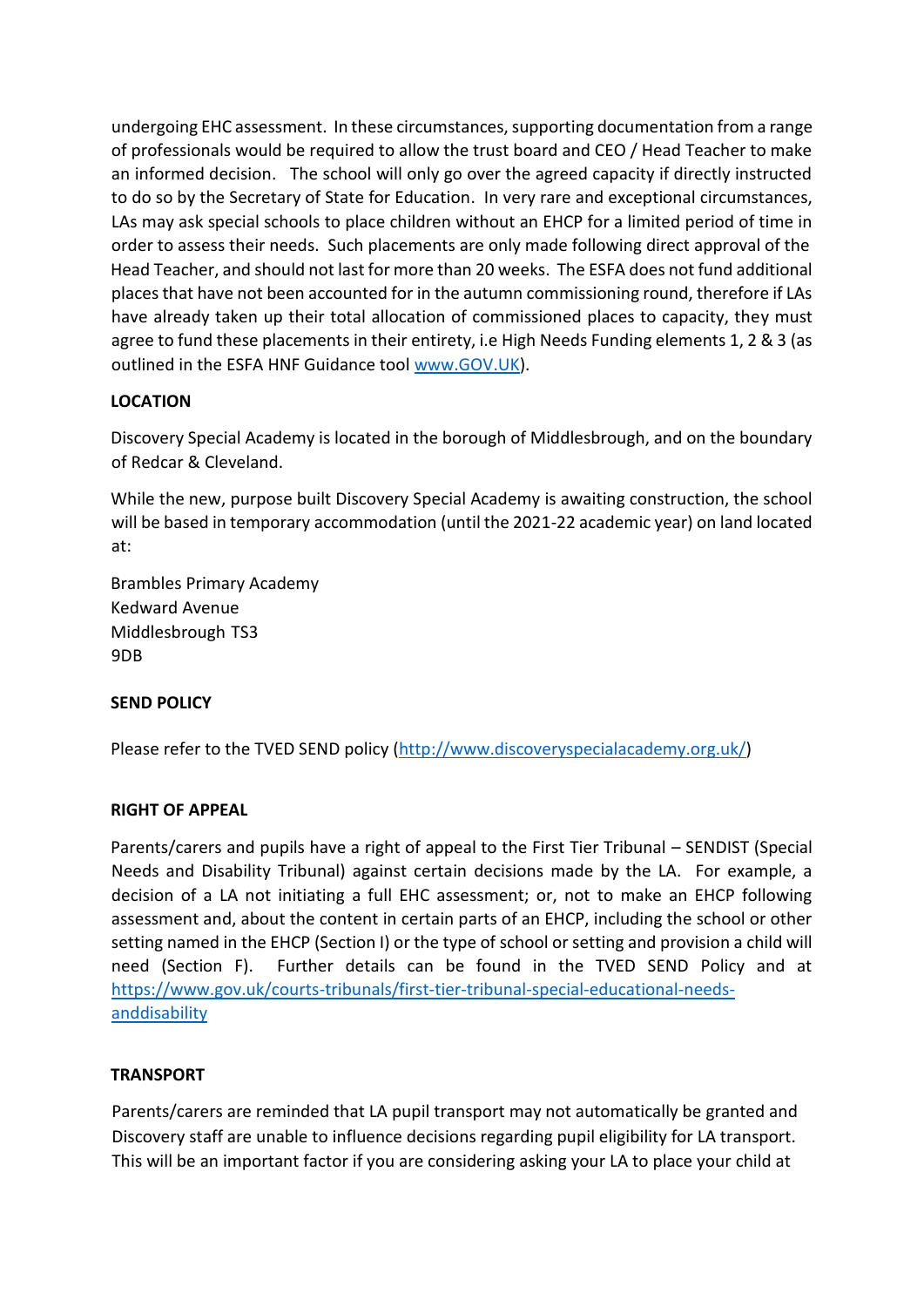undergoing EHC assessment. In these circumstances, supporting documentation from a range of professionals would be required to allow the trust board and CEO / Head Teacher to make an informed decision. The school will only go over the agreed capacity if directly instructed to do so by the Secretary of State for Education. In very rare and exceptional circumstances, LAs may ask special schools to place children without an EHCP for a limited period of time in order to assess their needs. Such placements are only made following direct approval of the Head Teacher, and should not last for more than 20 weeks. The ESFA does not fund additional places that have not been accounted for in the autumn commissioning round, therefore if LAs have already taken up their total allocation of commissioned places to capacity, they must agree to fund these placements in their entirety, i.e High Needs Funding elements 1, 2 & 3 (as outlined in the ESFA HNF Guidance too[l](http://www.gov.uk/) [www.GOV.UK\).](http://www.gov.uk/)

## **LOCATION**

Discovery Special Academy is located in the borough of Middlesbrough, and on the boundary of Redcar & Cleveland.

While the new, purpose built Discovery Special Academy is awaiting construction, the school will be based in temporary accommodation (until the 2021-22 academic year) on land located at:

Brambles Primary Academy Kedward Avenue Middlesbrough TS3 9DB

# **SEND POLICY**

Please refer to the TVED SEND policy [\(http://www.discoveryspecialacademy.org.uk/\)](http://www.discoveryspecialacademy.org.uk/)

#### **RIGHT OF APPEAL**

Parents/carers and pupils have a right of appeal to the First Tier Tribunal – SENDIST (Special Needs and Disability Tribunal) against certain decisions made by the LA. For example, a decision of a LA not initiating a full EHC assessment; or, not to make an EHCP following assessment and, about the content in certain parts of an EHCP, including the school or other setting named in the EHCP (Section I) or the type of school or setting and provision a child will need (Section F). Further details can be found in the TVED SEND Policy and at [https://www.gov.uk/courts-tribunals/first-tier-tribunal-special-educational-needs](https://www.gov.uk/courts-tribunals/first-tier-tribunal-special-educational-needs-and-disability)[anddisability](https://www.gov.uk/courts-tribunals/first-tier-tribunal-special-educational-needs-and-disability)

#### **TRANSPORT**

Parents/carers are reminded that LA pupil transport may not automatically be granted and Discovery staff are unable to influence decisions regarding pupil eligibility for LA transport. This will be an important factor if you are considering asking your LA to place your child at